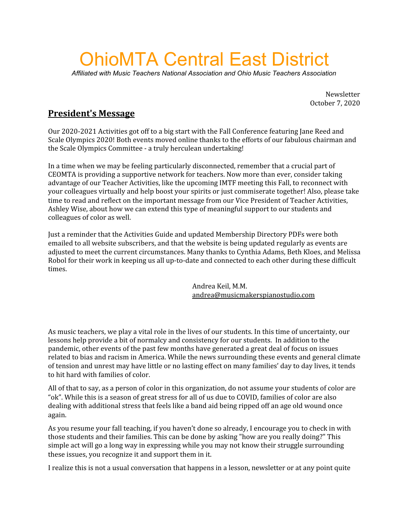# OhioMTA Central East District

*Affiliated with Music Teachers National Association and Ohio Music Teachers Association*

Newsletter October 7, 2020

# **President's Message**

Our 2020-2021 Activities got off to a big start with the Fall Conference featuring Jane Reed and Scale Olympics 2020! Both events moved online thanks to the efforts of our fabulous chairman and the Scale Olympics Committee - a truly herculean undertaking!

In a time when we may be feeling particularly disconnected, remember that a crucial part of CEOMTA is providing a supportive network for teachers. Now more than ever, consider taking advantage of our Teacher Activities, like the upcoming IMTF meeting this Fall, to reconnect with your colleagues virtually and help boost your spirits or just commiserate together! Also, please take time to read and reflect on the important message from our Vice President of Teacher Activities, Ashley Wise, about how we can extend this type of meaningful support to our students and colleagues of color as well.

Just a reminder that the Activities Guide and updated Membership Directory PDFs were both emailed to all website subscribers, and that the website is being updated regularly as events are adjusted to meet the current circumstances. Many thanks to Cynthia Adams, Beth Kloes, and Melissa Robol for their work in keeping us all up-to-date and connected to each other during these difficult times.

> Andrea Keil, M.M. [andrea@musicmakerspianostudio.com](mailto:andrea@musicmakerspianostudio.com)

As music teachers, we play a vital role in the lives of our students. In this time of uncertainty, our lessons help provide a bit of normalcy and consistency for our students. In addition to the pandemic, other events of the past few months have generated a great deal of focus on issues related to bias and racism in America. While the news surrounding these events and general climate of tension and unrest may have little or no lasting effect on many families' day to day lives, it tends to hit hard with families of color.

All of that to say, as a person of color in this organization, do not assume your students of color are "ok". While this is a season of great stress for all of us due to COVID, families of color are also dealing with additional stress that feels like a band aid being ripped off an age old wound once again.

As you resume your fall teaching, if you haven't done so already, I encourage you to check in with those students and their families. This can be done by asking "how are you really doing?" This simple act will go a long way in expressing while you may not know their struggle surrounding these issues, you recognize it and support them in it.

I realize this is not a usual conversation that happens in a lesson, newsletter or at any point quite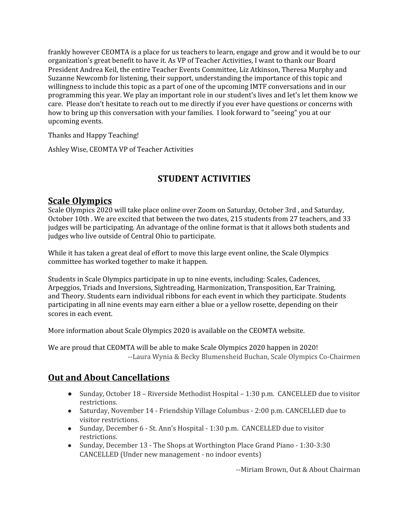frankly however CEOMTA is a place for us teachers to learn, engage and grow and it would be to our organization's great benefit to have it. As VP of Teacher Activities, I want to thank our Board President Andrea Keil, the entire Teacher Events Committee, Liz Atkinson, Theresa Murphy and Suzanne Newcomb for listening, their support, understanding the importance of this topic and willingness to include this topic as a part of one of the upcoming IMTF conversations and in our programming this year. We play an important role in our student's lives and let's let them know we care. Please don't hesitate to reach out to me directly if you ever have questions or concerns with how to bring up this conversation with your families. I look forward to "seeing" you at our upcoming events.

Thanks and Happy Teaching!

Ashley Wise, CEOMTA VP of Teacher Activities

# **STUDENT ACTIVITIES**

## **Scale Olympics**

Scale Olympics 2020 will take place online over Zoom on Saturday, October 3rd , and Saturday, October 10th . We are excited that between the two dates, 215 students from 27 teachers, and 33 judges will be participating. An advantage of the online format is that it allows both students and judges who live outside of Central Ohio to participate.

While it has taken a great deal of effort to move this large event online, the Scale Olympics committee has worked together to make it happen.

Students in Scale Olympics participate in up to nine events, including: Scales, Cadences, Arpeggios, Triads and Inversions, Sightreading, Harmonization, Transposition, Ear Training, and Theory. Students earn individual ribbons for each event in which they participate. Students participating in all nine events may earn either a blue or a yellow rosette, depending on their scores in each event.

More information about Scale Olympics 2020 is available on the CEOMTA website.

We are proud that CEOMTA will be able to make Scale Olympics 2020 happen in 2020! --Laura Wynia & Becky Blumensheid Buchan, Scale Olympics Co-Chairmen

# **Out and About Cancellations**

- Sunday, October 18 Riverside Methodist Hospital 1:30 p.m. CANCELLED due to visitor restrictions.
- Saturday, November 14 Friendship Village Columbus 2:00 p.m. CANCELLED due to visitor restrictions.
- Sunday, December 6 St. Ann's Hospital 1:30 p.m. CANCELLED due to visitor restrictions.
- Sunday, December 13 The Shops at Worthington Place Grand Piano 1:30-3:30 CANCELLED (Under new management - no indoor events)

--Miriam Brown, Out & About Chairman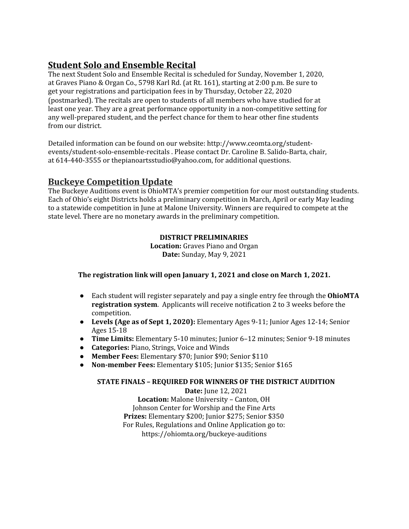# **Student Solo and Ensemble Recital**

The next Student Solo and Ensemble Recital is scheduled for Sunday, November 1, 2020, at Graves Piano & Organ Co., 5798 Karl Rd. (at Rt. 161), starting at 2:00 p.m. Be sure to get your registrations and participation fees in by Thursday, October 22, 2020 (postmarked). The recitals are open to students of all members who have studied for at least one year. They are a great performance opportunity in a non-competitive setting for any well-prepared student, and the perfect chance for them to hear other fine students from our district.

Detailed information can be found on our website: http://www.ceomta.org/studentevents/student-solo-ensemble-recitals . Please contact Dr. Caroline B. Salido-Barta, chair, at 614-440-3555 or thepianoartsstudio@yahoo.com, for additional questions.

## **Buckeye Competition Update**

The Buckeye Auditions event is OhioMTA's premier competition for our most outstanding students. Each of Ohio's eight Districts holds a preliminary competition in March, April or early May leading to a statewide competition in June at Malone University. Winners are required to compete at the state level. There are no monetary awards in the preliminary competition.

#### **DISTRICT PRELIMINARIES**

**Location:** Graves Piano and Organ **Date:** Sunday, May 9, 2021

#### **The registration link will open January 1, 2021 and close on March 1, 2021.**

- Each student will register separately and pay a single entry fee through the **OhioMTA registration system**. Applicants will receive notification 2 to 3 weeks before the competition.
- **Levels (Age as of Sept 1, 2020):** Elementary Ages 9-11; Junior Ages 12-14; Senior Ages 15-18
- **Time Limits:** Elementary 5-10 minutes; Junior 6–12 minutes; Senior 9-18 minutes
- **Categories:** Piano, Strings, Voice and Winds
- **Member Fees:** Elementary \$70; Junior \$90; Senior \$110
- **Non-member Fees:** Elementary \$105; Junior \$135; Senior \$165

#### **STATE FINALS – REQUIRED FOR WINNERS OF THE DISTRICT AUDITION**

**Date:** June 12, 2021 **Location:** Malone University – Canton, OH Johnson Center for Worship and the Fine Arts **Prizes:** Elementary \$200; Junior \$275; Senior \$350 For Rules, Regulations and Online Application go to: <https://ohiomta.org/buckeye-auditions>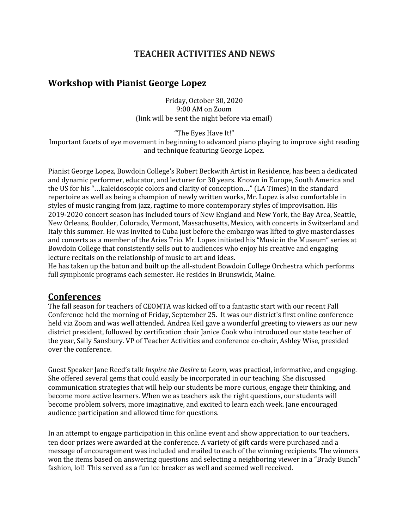## **TEACHER ACTIVITIES AND NEWS**

## **Workshop with Pianist George Lopez**

Friday, October 30, 2020 9:00 AM on Zoom (link will be sent the night before via email)

"The Eyes Have It!"

Important facets of eye movement in beginning to advanced piano playing to improve sight reading and technique featuring George Lopez.

Pianist George Lopez, Bowdoin College's Robert Beckwith Artist in Residence, has been a dedicated and dynamic performer, educator, and lecturer for 30 years. Known in Europe, South America and the US for his "…kaleidoscopic colors and clarity of conception…" (LA Times) in the standard repertoire as well as being a champion of newly written works, Mr. Lopez is also comfortable in styles of music ranging from jazz, ragtime to more contemporary styles of improvisation. His 2019-2020 concert season has included tours of New England and New York, the Bay Area, Seattle, New Orleans, Boulder, Colorado, Vermont, Massachusetts, Mexico, with concerts in Switzerland and Italy this summer. He was invited to Cuba just before the embargo was lifted to give masterclasses and concerts as a member of the Aries Trio. Mr. Lopez initiated his "Music in the Museum" series at Bowdoin College that consistently sells out to audiences who enjoy his creative and engaging lecture recitals on the relationship of music to art and ideas.

He has taken up the baton and built up the all-student Bowdoin College Orchestra which performs full symphonic programs each semester. He resides in Brunswick, Maine.

#### **Conferences**

The fall season for teachers of CEOMTA was kicked off to a fantastic start with our recent Fall Conference held the morning of Friday, September 25. It was our district's first online conference held via Zoom and was well attended. Andrea Keil gave a wonderful greeting to viewers as our new district president, followed by certification chair Janice Cook who introduced our state teacher of the year, Sally Sansbury. VP of Teacher Activities and conference co-chair, Ashley Wise, presided over the conference.

Guest Speaker Jane Reed's talk *Inspire the Desire to Learn,* was practical, informative, and engaging. She offered several gems that could easily be incorporated in our teaching. She discussed communication strategies that will help our students be more curious, engage their thinking, and become more active learners. When we as teachers ask the right questions, our students will become problem solvers, more imaginative, and excited to learn each week. Jane encouraged audience participation and allowed time for questions.

In an attempt to engage participation in this online event and show appreciation to our teachers, ten door prizes were awarded at the conference. A variety of gift cards were purchased and a message of encouragement was included and mailed to each of the winning recipients. The winners won the items based on answering questions and selecting a neighboring viewer in a "Brady Bunch" fashion, lol! This served as a fun ice breaker as well and seemed well received.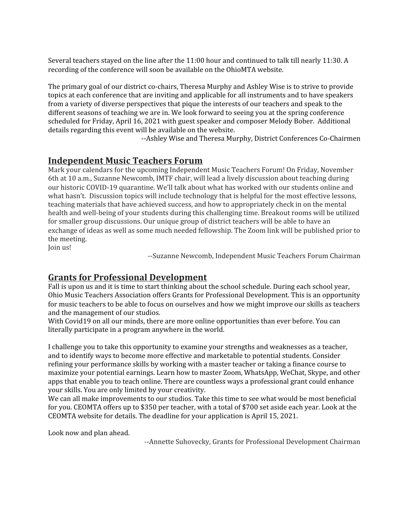Several teachers stayed on the line after the 11:00 hour and continued to talk till nearly 11:30. A recording of the conference will soon be available on the OhioMTA website.

The primary goal of our district co-chairs, Theresa Murphy and Ashley Wise is to strive to provide topics at each conference that are inviting and applicable for all instruments and to have speakers from a variety of diverse perspectives that pique the interests of our teachers and speak to the different seasons of teaching we are in. We look forward to seeing you at the spring conference scheduled for Friday, April 16, 2021 with guest speaker and composer Melody Bober. Additional details regarding this event will be available on the website.

--Ashley Wise and Theresa Murphy, District Conferences Co-Chairmen

## **Independent Music Teachers Forum**

Mark your calendars for the upcoming Independent Music Teachers Forum! On Friday, November 6th at 10 a.m., Suzanne Newcomb, IMTF chair, will lead a lively discussion about teaching during our historic COVID-19 quarantine. We'll talk about what has worked with our students online and what hasn't. Discussion topics will include technology that is helpful for the most effective lessons, teaching materials that have achieved success, and how to appropriately check in on the mental health and well-being of your students during this challenging time. Breakout rooms will be utilized for smaller group discussions. Our unique group of district teachers will be able to have an exchange of ideas as well as some much needed fellowship. The Zoom link will be published prior to the meeting.

Join us!

--Suzanne Newcomb, Independent Music Teachers Forum Chairman

## **Grants for Professional Development**

Fall is upon us and it is time to start thinking about the school schedule. During each school year, Ohio Music Teachers Association offers Grants for Professional Development. This is an opportunity for music teachers to be able to focus on ourselves and how we might improve our skills as teachers and the management of our studios.

With Covid19 on all our minds, there are more online opportunities than ever before. You can literally participate in a program anywhere in the world.

I challenge you to take this opportunity to examine your strengths and weaknesses as a teacher, and to identify ways to become more effective and marketable to potential students. Consider refining your performance skills by working with a master teacher or taking a finance course to maximize your potential earnings. Learn how to master Zoom, WhatsApp, WeChat, Skype, and other apps that enable you to teach online. There are countless ways a professional grant could enhance your skills. You are only limited by your creativity.

We can all make improvements to our studios. Take this time to see what would be most beneficial for you. CEOMTA offers up to \$350 per teacher, with a total of \$700 set aside each year. Look at the CEOMTA website for details. The deadline for your application is April 15, 2021.

Look now and plan ahead.

--Annette Suhovecky, Grants for Professional Development Chairman